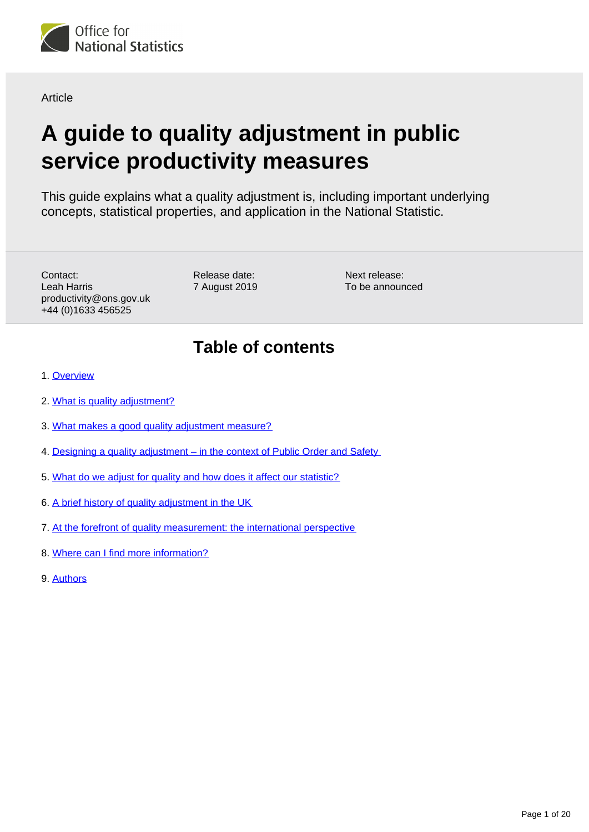<span id="page-0-0"></span>

Article

# **A guide to quality adjustment in public service productivity measures**

This guide explains what a quality adjustment is, including important underlying concepts, statistical properties, and application in the National Statistic.

Contact: Leah Harris productivity@ons.gov.uk +44 (0)1633 456525

Release date: 7 August 2019 Next release: To be announced

## **Table of contents**

- 1. [Overview](#page-1-0)
- 2. [What is quality adjustment?](#page-1-1)
- 3. [What makes a good quality adjustment measure?](#page-2-0)
- 4. [Designing a quality adjustment in the context of Public Order and Safety](#page-4-0)
- 5. [What do we adjust for quality and how does it affect our statistic?](#page-12-0)
- 6. [A brief history of quality adjustment in the UK](#page-14-0)
- 7. [At the forefront of quality measurement: the international perspective](#page-16-0)
- 8. [Where can I find more information?](#page-17-0)
- 9. [Authors](#page-19-0)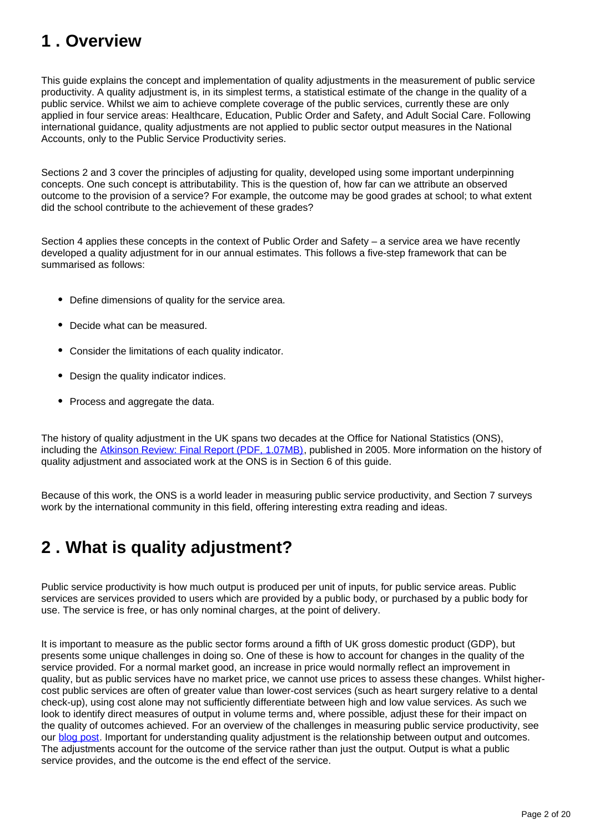## <span id="page-1-0"></span>**1 . Overview**

This guide explains the concept and implementation of quality adjustments in the measurement of public service productivity. A quality adjustment is, in its simplest terms, a statistical estimate of the change in the quality of a public service. Whilst we aim to achieve complete coverage of the public services, currently these are only applied in four service areas: Healthcare, Education, Public Order and Safety, and Adult Social Care. Following international guidance, quality adjustments are not applied to public sector output measures in the National Accounts, only to the Public Service Productivity series.

Sections 2 and 3 cover the principles of adjusting for quality, developed using some important underpinning concepts. One such concept is attributability. This is the question of, how far can we attribute an observed outcome to the provision of a service? For example, the outcome may be good grades at school; to what extent did the school contribute to the achievement of these grades?

Section 4 applies these concepts in the context of Public Order and Safety – a service area we have recently developed a quality adjustment for in our annual estimates. This follows a five-step framework that can be summarised as follows:

- Define dimensions of quality for the service area.
- Decide what can be measured.
- Consider the limitations of each quality indicator.
- Design the quality indicator indices.
- Process and aggregate the data.

The history of quality adjustment in the UK spans two decades at the Office for National Statistics (ONS), including the [Atkinson Review: Final Report \(PDF, 1.07MB\)](https://webarchive.nationalarchives.gov.uk/20160106223636/http:/www.ons.gov.uk/ons/guide-method/method-quality/specific/public-sector-methodology/articles/atkinson-review-final-report.pdf), published in 2005. More information on the history of quality adjustment and associated work at the ONS is in Section 6 of this guide.

Because of this work, the ONS is a world leader in measuring public service productivity, and Section 7 surveys work by the international community in this field, offering interesting extra reading and ideas.

## <span id="page-1-1"></span>**2 . What is quality adjustment?**

Public service productivity is how much output is produced per unit of inputs, for public service areas. Public services are services provided to users which are provided by a public body, or purchased by a public body for use. The service is free, or has only nominal charges, at the point of delivery.

It is important to measure as the public sector forms around a fifth of UK gross domestic product (GDP), but presents some unique challenges in doing so. One of these is how to account for changes in the quality of the service provided. For a normal market good, an increase in price would normally reflect an improvement in quality, but as public services have no market price, we cannot use prices to assess these changes. Whilst highercost public services are often of greater value than lower-cost services (such as heart surgery relative to a dental check-up), using cost alone may not sufficiently differentiate between high and low value services. As such we look to identify direct measures of output in volume terms and, where possible, adjust these for their impact on the quality of outcomes achieved. For an overview of the challenges in measuring public service productivity, see our **blog post.** Important for understanding quality adjustment is the relationship between output and outcomes. The adjustments account for the outcome of the service rather than just the output. Output is what a public service provides, and the outcome is the end effect of the service.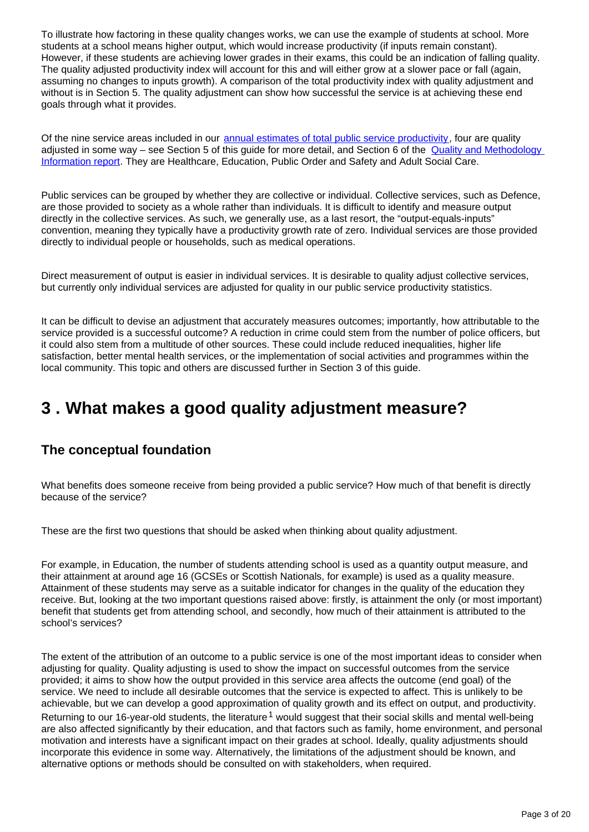To illustrate how factoring in these quality changes works, we can use the example of students at school. More students at a school means higher output, which would increase productivity (if inputs remain constant). However, if these students are achieving lower grades in their exams, this could be an indication of falling quality. The quality adjusted productivity index will account for this and will either grow at a slower pace or fall (again, assuming no changes to inputs growth). A comparison of the total productivity index with quality adjustment and without is in Section 5. The quality adjustment can show how successful the service is at achieving these end goals through what it provides.

Of the nine service areas included in our [annual estimates of total public service productivity](https://www.ons.gov.uk/economy/economicoutputandproductivity/publicservicesproductivity/articles/publicservicesproductivityestimatestotalpublicservices/previousReleases), four are quality adjusted in some way – see Section 5 of this guide for more detail, and Section 6 of the Quality and Methodology [Information report](https://www.ons.gov.uk/economy/economicoutputandproductivity/publicservicesproductivity/methodologies/publicserviceproductivityestimatestotalpublicservicesqmi). They are Healthcare, Education, Public Order and Safety and Adult Social Care.

Public services can be grouped by whether they are collective or individual. Collective services, such as Defence, are those provided to society as a whole rather than individuals. It is difficult to identify and measure output directly in the collective services. As such, we generally use, as a last resort, the "output-equals-inputs" convention, meaning they typically have a productivity growth rate of zero. Individual services are those provided directly to individual people or households, such as medical operations.

Direct measurement of output is easier in individual services. It is desirable to quality adjust collective services, but currently only individual services are adjusted for quality in our public service productivity statistics.

It can be difficult to devise an adjustment that accurately measures outcomes; importantly, how attributable to the service provided is a successful outcome? A reduction in crime could stem from the number of police officers, but it could also stem from a multitude of other sources. These could include reduced inequalities, higher life satisfaction, better mental health services, or the implementation of social activities and programmes within the local community. This topic and others are discussed further in Section 3 of this guide.

## <span id="page-2-0"></span>**3 . What makes a good quality adjustment measure?**

### **The conceptual foundation**

What benefits does someone receive from being provided a public service? How much of that benefit is directly because of the service?

These are the first two questions that should be asked when thinking about quality adjustment.

For example, in Education, the number of students attending school is used as a quantity output measure, and their attainment at around age 16 (GCSEs or Scottish Nationals, for example) is used as a quality measure. Attainment of these students may serve as a suitable indicator for changes in the quality of the education they receive. But, looking at the two important questions raised above: firstly, is attainment the only (or most important) benefit that students get from attending school, and secondly, how much of their attainment is attributed to the school's services?

The extent of the attribution of an outcome to a public service is one of the most important ideas to consider when adjusting for quality. Quality adjusting is used to show the impact on successful outcomes from the service provided; it aims to show how the output provided in this service area affects the outcome (end goal) of the service. We need to include all desirable outcomes that the service is expected to affect. This is unlikely to be achievable, but we can develop a good approximation of quality growth and its effect on output, and productivity. Returning to our 16-year-old students, the literature  $1$  would suggest that their social skills and mental well-being are also affected significantly by their education, and that factors such as family, home environment, and personal motivation and interests have a significant impact on their grades at school. Ideally, quality adjustments should incorporate this evidence in some way. Alternatively, the limitations of the adjustment should be known, and alternative options or methods should be consulted on with stakeholders, when required.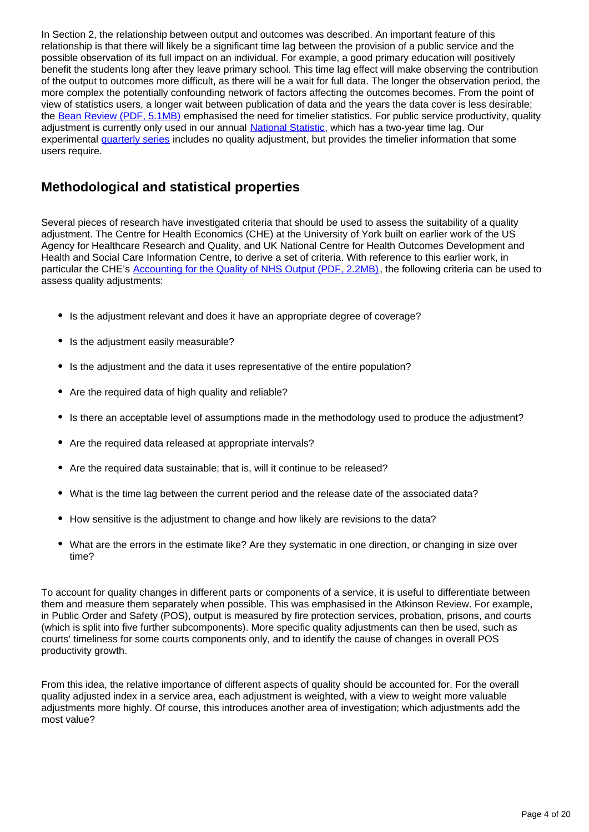In Section 2, the relationship between output and outcomes was described. An important feature of this relationship is that there will likely be a significant time lag between the provision of a public service and the possible observation of its full impact on an individual. For example, a good primary education will positively benefit the students long after they leave primary school. This time lag effect will make observing the contribution of the output to outcomes more difficult, as there will be a wait for full data. The longer the observation period, the more complex the potentially confounding network of factors affecting the outcomes becomes. From the point of view of statistics users, a longer wait between publication of data and the years the data cover is less desirable; the [Bean Review \(PDF, 5.1MB\)](https://assets.publishing.service.gov.uk/government/uploads/system/uploads/attachment_data/file/507081/2904936_Bean_Review_Web_Accessible.pdf) emphasised the need for timelier statistics. For public service productivity, quality adjustment is currently only used in our annual [National Statistic,](https://www.ons.gov.uk/economy/economicoutputandproductivity/publicservicesproductivity/articles/publicservicesproductivityestimatestotalpublicservices/previousReleases) which has a two-year time lag. Our experimental [quarterly series](https://www.ons.gov.uk/employmentandlabourmarket/peopleinwork/labourproductivity/articles/quarterlypublicserviceproductivityexperimentalstatistics/previousReleases) includes no quality adjustment, but provides the timelier information that some users require.

### **Methodological and statistical properties**

Several pieces of research have investigated criteria that should be used to assess the suitability of a quality adjustment. The Centre for Health Economics (CHE) at the University of York built on earlier work of the US Agency for Healthcare Research and Quality, and UK National Centre for Health Outcomes Development and Health and Social Care Information Centre, to derive a set of criteria. With reference to this earlier work, in particular the CHE's [Accounting for the Quality of NHS Output \(PDF, 2.2MB\)](https://www.york.ac.uk/media/che/documents/papers/researchpapers/CHERP153_accounting_quality_NHS_output.pdf), the following criteria can be used to assess quality adjustments:

- Is the adjustment relevant and does it have an appropriate degree of coverage?
- Is the adjustment easily measurable?
- Is the adjustment and the data it uses representative of the entire population?
- Are the required data of high quality and reliable?
- Is there an acceptable level of assumptions made in the methodology used to produce the adjustment?
- Are the required data released at appropriate intervals?
- Are the required data sustainable; that is, will it continue to be released?
- What is the time lag between the current period and the release date of the associated data?
- How sensitive is the adjustment to change and how likely are revisions to the data?
- What are the errors in the estimate like? Are they systematic in one direction, or changing in size over time?

To account for quality changes in different parts or components of a service, it is useful to differentiate between them and measure them separately when possible. This was emphasised in the Atkinson Review. For example, in Public Order and Safety (POS), output is measured by fire protection services, probation, prisons, and courts (which is split into five further subcomponents). More specific quality adjustments can then be used, such as courts' timeliness for some courts components only, and to identify the cause of changes in overall POS productivity growth.

From this idea, the relative importance of different aspects of quality should be accounted for. For the overall quality adjusted index in a service area, each adjustment is weighted, with a view to weight more valuable adjustments more highly. Of course, this introduces another area of investigation; which adjustments add the most value?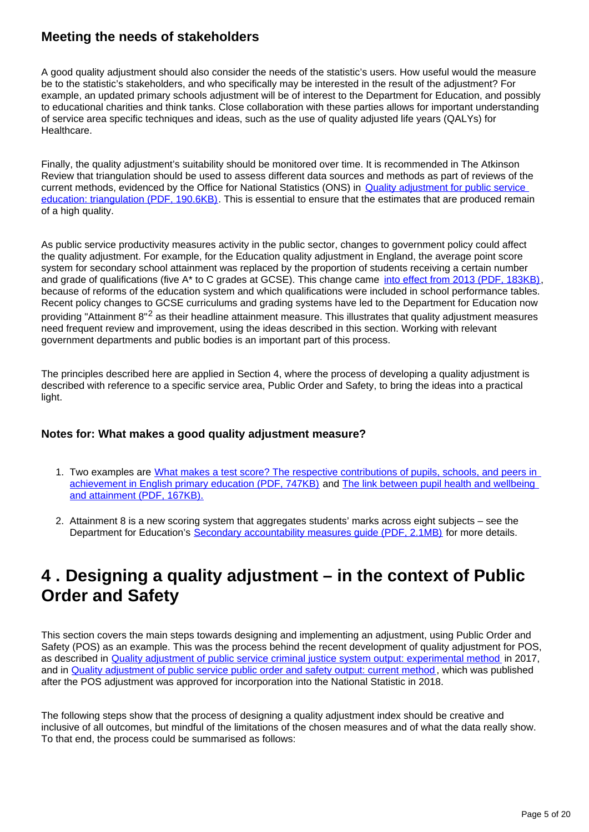### **Meeting the needs of stakeholders**

A good quality adjustment should also consider the needs of the statistic's users. How useful would the measure be to the statistic's stakeholders, and who specifically may be interested in the result of the adjustment? For example, an updated primary schools adjustment will be of interest to the Department for Education, and possibly to educational charities and think tanks. Close collaboration with these parties allows for important understanding of service area specific techniques and ideas, such as the use of quality adjusted life years (QALYs) for Healthcare.

Finally, the quality adjustment's suitability should be monitored over time. It is recommended in The Atkinson Review that triangulation should be used to assess different data sources and methods as part of reviews of the current methods, evidenced by the Office for National Statistics (ONS) in **Quality adjustment for public service** [education: triangulation \(PDF, 190.6KB\).](https://webarchive.nationalarchives.gov.uk/20160109014415/http:/www.ons.gov.uk/ons/dcp171766_259595.pdf) This is essential to ensure that the estimates that are produced remain of a high quality.

As public service productivity measures activity in the public sector, changes to government policy could affect the quality adjustment. For example, for the Education quality adjustment in England, the average point score system for secondary school attainment was replaced by the proportion of students receiving a certain number and grade of qualifications (five A\* to C grades at GCSE). This change came [into effect from 2013 \(PDF, 183KB\),](https://www.ons.gov.uk/ons/guide-method/method-quality/specific/public-sector-methodology/articles/methods-change-in-public-service-productivity-estimates--education-2013.pdf) because of reforms of the education system and which qualifications were included in school performance tables. Recent policy changes to GCSE curriculums and grading systems have led to the Department for Education now providing "Attainment 8"<sup>2</sup> as their headline attainment measure. This illustrates that quality adjustment measures need frequent review and improvement, using the ideas described in this section. Working with relevant government departments and public bodies is an important part of this process.

The principles described here are applied in Section 4, where the process of developing a quality adjustment is described with reference to a specific service area, Public Order and Safety, to bring the ideas into a practical light.

#### **Notes for: What makes a good quality adjustment measure?**

- 1. Two examples are What makes a test score? The respective contributions of pupils, schools, and peers in [achievement in English primary education \(PDF, 747KB\)](http://cee.lse.ac.uk/ceedps/ceedp102.pdf) and [The link between pupil health and wellbeing](https://assets.publishing.service.gov.uk/government/uploads/system/uploads/attachment_data/file/370686/HT_briefing_layoutvFINALvii.pdf)  [and attainment \(PDF, 167KB\).](https://assets.publishing.service.gov.uk/government/uploads/system/uploads/attachment_data/file/370686/HT_briefing_layoutvFINALvii.pdf)
- 2. Attainment 8 is a new scoring system that aggregates students' marks across eight subjects see the Department for Education's [Secondary accountability measures guide \(PDF, 2.1MB\)](https://assets.publishing.service.gov.uk/government/uploads/system/uploads/attachment_data/file/783865/Secondary_accountability_measures_guidance.pdf) for more details.

## <span id="page-4-0"></span>**4 . Designing a quality adjustment – in the context of Public Order and Safety**

This section covers the main steps towards designing and implementing an adjustment, using Public Order and Safety (POS) as an example. This was the process behind the recent development of quality adjustment for POS, as described in [Quality adjustment of public service criminal justice system output: experimental method](https://www.ons.gov.uk/economy/economicoutputandproductivity/publicservicesproductivity/articles/qualityadjustmentofpublicservicecriminaljusticesystemoutputexperimentalmethod/2017-10-06) in 2017, and in [Quality adjustment of public service public order and safety output: current method](https://www.ons.gov.uk/economy/economicoutputandproductivity/publicservicesproductivity/methodologies/qualityadjustmentofpublicservicepublicorderandsafetyoutputcurrentmethod), which was published after the POS adjustment was approved for incorporation into the National Statistic in 2018.

The following steps show that the process of designing a quality adjustment index should be creative and inclusive of all outcomes, but mindful of the limitations of the chosen measures and of what the data really show. To that end, the process could be summarised as follows: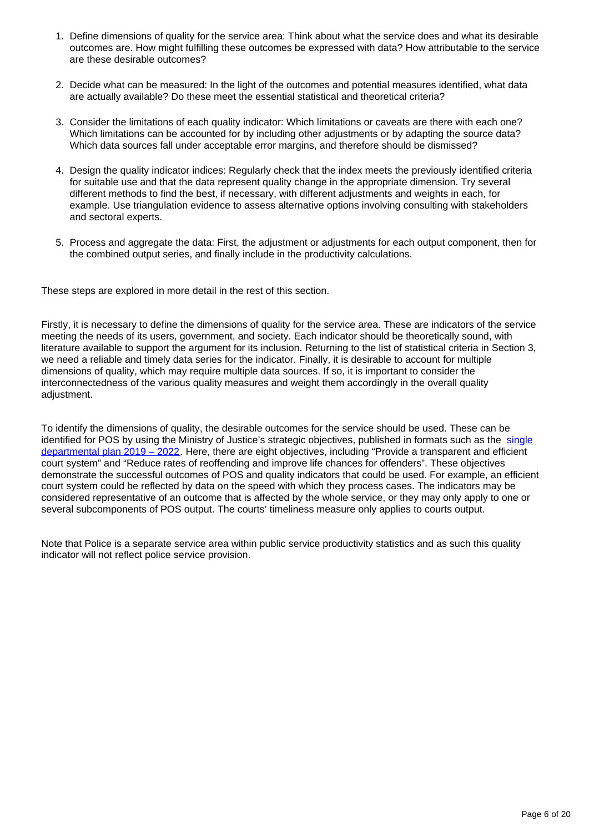- 1. Define dimensions of quality for the service area: Think about what the service does and what its desirable outcomes are. How might fulfilling these outcomes be expressed with data? How attributable to the service are these desirable outcomes?
- 2. Decide what can be measured: In the light of the outcomes and potential measures identified, what data are actually available? Do these meet the essential statistical and theoretical criteria?
- 3. Consider the limitations of each quality indicator: Which limitations or caveats are there with each one? Which limitations can be accounted for by including other adjustments or by adapting the source data? Which data sources fall under acceptable error margins, and therefore should be dismissed?
- 4. Design the quality indicator indices: Regularly check that the index meets the previously identified criteria for suitable use and that the data represent quality change in the appropriate dimension. Try several different methods to find the best, if necessary, with different adjustments and weights in each, for example. Use triangulation evidence to assess alternative options involving consulting with stakeholders and sectoral experts.
- 5. Process and aggregate the data: First, the adjustment or adjustments for each output component, then for the combined output series, and finally include in the productivity calculations.

These steps are explored in more detail in the rest of this section.

Firstly, it is necessary to define the dimensions of quality for the service area. These are indicators of the service meeting the needs of its users, government, and society. Each indicator should be theoretically sound, with literature available to support the argument for its inclusion. Returning to the list of statistical criteria in Section 3, we need a reliable and timely data series for the indicator. Finally, it is desirable to account for multiple dimensions of quality, which may require multiple data sources. If so, it is important to consider the interconnectedness of the various quality measures and weight them accordingly in the overall quality adjustment.

To identify the dimensions of quality, the desirable outcomes for the service should be used. These can be identified for POS by using the Ministry of Justice's strategic objectives, published in formats such as the single [departmental plan 2019 – 2022](https://www.gov.uk/government/publications/ministry-of-justice-single-departmental-plan/ministry-of-justice-single-departmental-plan--3). Here, there are eight objectives, including "Provide a transparent and efficient court system" and "Reduce rates of reoffending and improve life chances for offenders". These objectives demonstrate the successful outcomes of POS and quality indicators that could be used. For example, an efficient court system could be reflected by data on the speed with which they process cases. The indicators may be considered representative of an outcome that is affected by the whole service, or they may only apply to one or several subcomponents of POS output. The courts' timeliness measure only applies to courts output.

Note that Police is a separate service area within public service productivity statistics and as such this quality indicator will not reflect police service provision.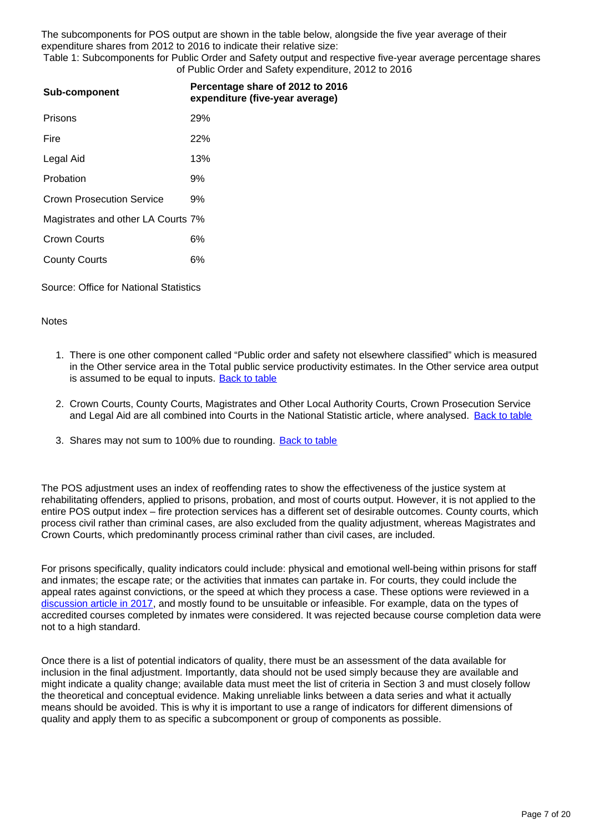The subcomponents for POS output are shown in the table below, alongside the five year average of their expenditure shares from 2012 to 2016 to indicate their relative size:

Table 1: Subcomponents for Public Order and Safety output and respective five-year average percentage shares of Public Order and Safety expenditure, 2012 to 2016

| Sub-component                      | Percentage share of 2012 to 2016<br>expenditure (five-year average) |
|------------------------------------|---------------------------------------------------------------------|
| Prisons                            | <b>29%</b>                                                          |
| Fire                               | 22%                                                                 |
| Legal Aid                          | 13%                                                                 |
| Probation                          | 9%                                                                  |
| <b>Crown Prosecution Service</b>   | 9%                                                                  |
| Magistrates and other LA Courts 7% |                                                                     |
| <b>Crown Courts</b>                | 6%                                                                  |
| <b>County Courts</b>               | 6%                                                                  |
|                                    |                                                                     |

Source: Office for National Statistics

#### **Notes**

- 1. There is one other component called "Public order and safety not elsewhere classified" which is measured in the Other service area in the Total public service productivity estimates. In the Other service area output is assumed to be equal to inputs. [Back to table](#page-0-0)
- 2. Crown Courts, County Courts, Magistrates and Other Local Authority Courts, Crown Prosecution Service and Legal Aid are all combined into Courts in the National Statistic article, where analysed. [Back to table](#page-0-0)
- 3. Shares may not sum to 100% due to rounding. **[Back to table](#page-0-0)**

The POS adjustment uses an index of reoffending rates to show the effectiveness of the justice system at rehabilitating offenders, applied to prisons, probation, and most of courts output. However, it is not applied to the entire POS output index – fire protection services has a different set of desirable outcomes. County courts, which process civil rather than criminal cases, are also excluded from the quality adjustment, whereas Magistrates and Crown Courts, which predominantly process criminal rather than civil cases, are included.

For prisons specifically, quality indicators could include: physical and emotional well-being within prisons for staff and inmates; the escape rate; or the activities that inmates can partake in. For courts, they could include the appeal rates against convictions, or the speed at which they process a case. These options were reviewed in a [discussion article in 2017,](https://www.ons.gov.uk/economy/economicoutputandproductivity/publicservicesproductivity/articles/qualityadjustmentofpublicservicecriminaljusticesystemoutputexperimentalmethod/2017-10-06) and mostly found to be unsuitable or infeasible. For example, data on the types of accredited courses completed by inmates were considered. It was rejected because course completion data were not to a high standard.

Once there is a list of potential indicators of quality, there must be an assessment of the data available for inclusion in the final adjustment. Importantly, data should not be used simply because they are available and might indicate a quality change; available data must meet the list of criteria in Section 3 and must closely follow the theoretical and conceptual evidence. Making unreliable links between a data series and what it actually means should be avoided. This is why it is important to use a range of indicators for different dimensions of quality and apply them to as specific a subcomponent or group of components as possible.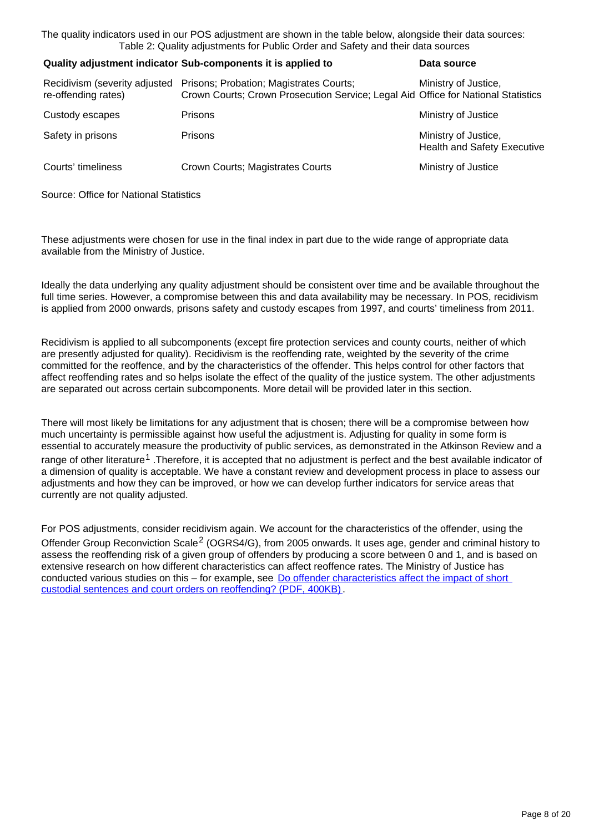The quality indicators used in our POS adjustment are shown in the table below, alongside their data sources: Table 2: Quality adjustments for Public Order and Safety and their data sources

#### **Quality adjustment indicator Sub-components it is applied to <b>Data source**

| Recidivism (severity adjusted<br>re-offending rates) | Prisons; Probation; Magistrates Courts;<br>Crown Courts; Crown Prosecution Service; Legal Aid Office for National Statistics | Ministry of Justice,                                       |
|------------------------------------------------------|------------------------------------------------------------------------------------------------------------------------------|------------------------------------------------------------|
| Custody escapes                                      | <b>Prisons</b>                                                                                                               | Ministry of Justice                                        |
| Safety in prisons                                    | <b>Prisons</b>                                                                                                               | Ministry of Justice,<br><b>Health and Safety Executive</b> |
| Courts' timeliness                                   | Crown Courts; Magistrates Courts                                                                                             | Ministry of Justice                                        |

Source: Office for National Statistics

These adjustments were chosen for use in the final index in part due to the wide range of appropriate data available from the Ministry of Justice.

Ideally the data underlying any quality adjustment should be consistent over time and be available throughout the full time series. However, a compromise between this and data availability may be necessary. In POS, recidivism is applied from 2000 onwards, prisons safety and custody escapes from 1997, and courts' timeliness from 2011.

Recidivism is applied to all subcomponents (except fire protection services and county courts, neither of which are presently adjusted for quality). Recidivism is the reoffending rate, weighted by the severity of the crime committed for the reoffence, and by the characteristics of the offender. This helps control for other factors that affect reoffending rates and so helps isolate the effect of the quality of the justice system. The other adjustments are separated out across certain subcomponents. More detail will be provided later in this section.

There will most likely be limitations for any adjustment that is chosen; there will be a compromise between how much uncertainty is permissible against how useful the adjustment is. Adjusting for quality in some form is essential to accurately measure the productivity of public services, as demonstrated in the Atkinson Review and a range of other literature<sup>1</sup>. Therefore, it is accepted that no adjustment is perfect and the best available indicator of a dimension of quality is acceptable. We have a constant review and development process in place to assess our adjustments and how they can be improved, or how we can develop further indicators for service areas that currently are not quality adjusted.

For POS adjustments, consider recidivism again. We account for the characteristics of the offender, using the Offender Group Reconviction Scale<sup>2</sup> (OGRS4/G), from 2005 onwards. It uses age, gender and criminal history to assess the reoffending risk of a given group of offenders by producing a score between 0 and 1, and is based on extensive research on how different characteristics can affect reoffence rates. The Ministry of Justice has conducted various studies on this – for example, see Do offender characteristics affect the impact of short [custodial sentences and court orders on reoffending? \(PDF, 400KB\)](https://assets.publishing.service.gov.uk/government/uploads/system/uploads/attachment_data/file/706597/do-offender-characteristics-affect-the-impact-of-short-custodial-sentences.pdf).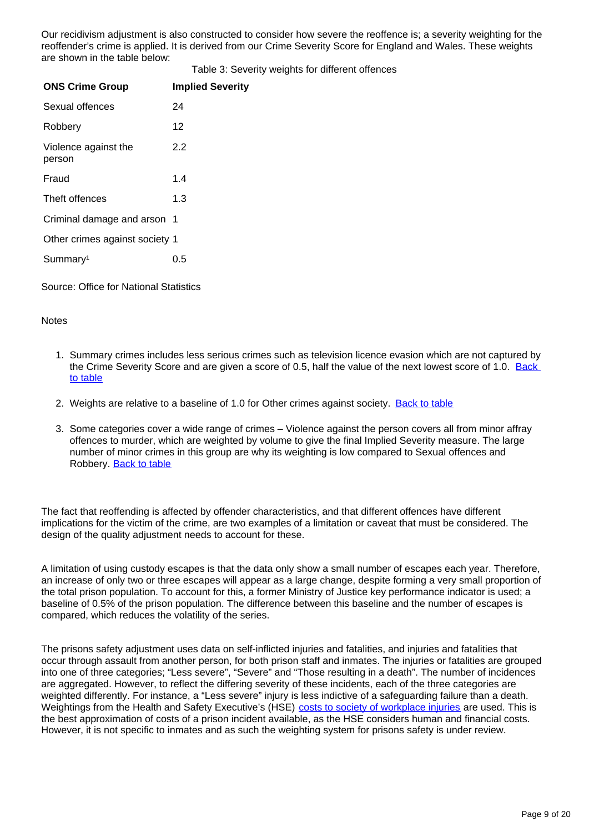Our recidivism adjustment is also constructed to consider how severe the reoffence is; a severity weighting for the reoffender's crime is applied. It is derived from our Crime Severity Score for England and Wales. These weights are shown in the table below:

Table 3: Severity weights for different offences

| <b>ONS Crime Group</b>         | <b>Implied Severity</b> |
|--------------------------------|-------------------------|
| Sexual offences                | 24                      |
| Robbery                        | 12                      |
| Violence against the<br>person | 2.2                     |
| Fraud                          | 1.4                     |
| Theft offences                 | 1.3                     |
| Criminal damage and arson 1    |                         |
| Other crimes against society 1 |                         |
| Summary <sup>1</sup>           | 0.5                     |

Source: Office for National Statistics

#### **Notes**

- 1. Summary crimes includes less serious crimes such as television licence evasion which are not captured by the Crime Severity Score and are given a score of 0.5, half the value of the next lowest score of 1.0. Back [to table](#page-0-0)
- 2. Weights are relative to a baseline of 1.0 for Other crimes against society. [Back to table](#page-0-0)
- 3. Some categories cover a wide range of crimes Violence against the person covers all from minor affray offences to murder, which are weighted by volume to give the final Implied Severity measure. The large number of minor crimes in this group are why its weighting is low compared to Sexual offences and Robbery. [Back to table](#page-0-0)

The fact that reoffending is affected by offender characteristics, and that different offences have different implications for the victim of the crime, are two examples of a limitation or caveat that must be considered. The design of the quality adjustment needs to account for these.

A limitation of using custody escapes is that the data only show a small number of escapes each year. Therefore, an increase of only two or three escapes will appear as a large change, despite forming a very small proportion of the total prison population. To account for this, a former Ministry of Justice key performance indicator is used; a baseline of 0.5% of the prison population. The difference between this baseline and the number of escapes is compared, which reduces the volatility of the series.

The prisons safety adjustment uses data on self-inflicted injuries and fatalities, and injuries and fatalities that occur through assault from another person, for both prison staff and inmates. The injuries or fatalities are grouped into one of three categories; "Less severe", "Severe" and "Those resulting in a death". The number of incidences are aggregated. However, to reflect the differing severity of these incidents, each of the three categories are weighted differently. For instance, a "Less severe" injury is less indictive of a safeguarding failure than a death. Weightings from the Health and Safety Executive's (HSE) [costs to society of workplace injuries](http://www.hse.gov.uk/economics/eauappraisal.htm) are used. This is the best approximation of costs of a prison incident available, as the HSE considers human and financial costs. However, it is not specific to inmates and as such the weighting system for prisons safety is under review.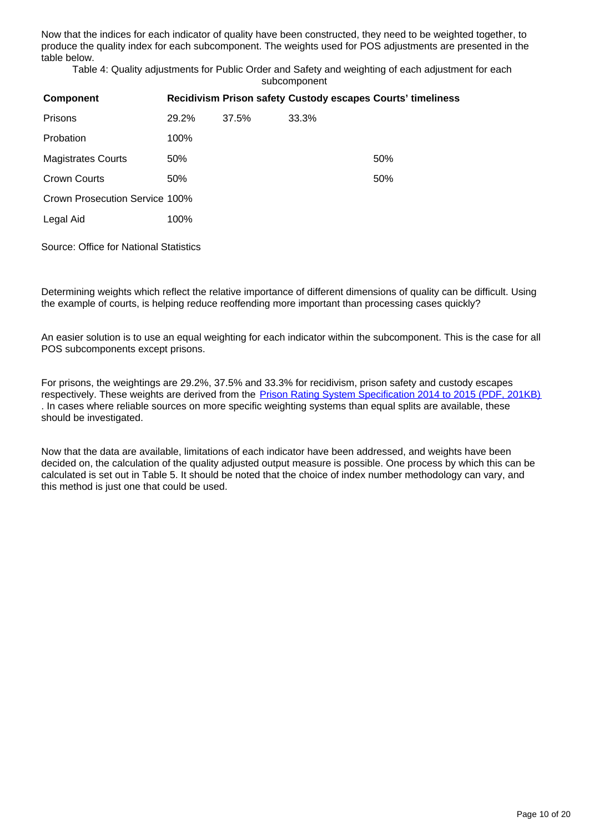Now that the indices for each indicator of quality have been constructed, they need to be weighted together, to produce the quality index for each subcomponent. The weights used for POS adjustments are presented in the table below.

Table 4: Quality adjustments for Public Order and Safety and weighting of each adjustment for each subcomponent

| <b>Component</b>               |       |       |       | Recidivism Prison safety Custody escapes Courts' timeliness |
|--------------------------------|-------|-------|-------|-------------------------------------------------------------|
| Prisons                        | 29.2% | 37.5% | 33.3% |                                                             |
| Probation                      | 100%  |       |       |                                                             |
| <b>Magistrates Courts</b>      | 50%   |       |       | 50%                                                         |
| Crown Courts                   | 50%   |       |       | 50%                                                         |
| Crown Prosecution Service 100% |       |       |       |                                                             |
| Legal Aid                      | 100%  |       |       |                                                             |
|                                |       |       |       |                                                             |

Source: Office for National Statistics

Determining weights which reflect the relative importance of different dimensions of quality can be difficult. Using the example of courts, is helping reduce reoffending more important than processing cases quickly?

An easier solution is to use an equal weighting for each indicator within the subcomponent. This is the case for all POS subcomponents except prisons.

For prisons, the weightings are 29.2%, 37.5% and 33.3% for recidivism, prison safety and custody escapes respectively. These weights are derived from the [Prison Rating System Specification 2014 to 2015 \(PDF, 201KB\)](https://assets.publishing.service.gov.uk/government/uploads/system/uploads/attachment_data/file/449190/prs-2014-2015.pdf) . In cases where reliable sources on more specific weighting systems than equal splits are available, these should be investigated.

Now that the data are available, limitations of each indicator have been addressed, and weights have been decided on, the calculation of the quality adjusted output measure is possible. One process by which this can be calculated is set out in Table 5. It should be noted that the choice of index number methodology can vary, and this method is just one that could be used.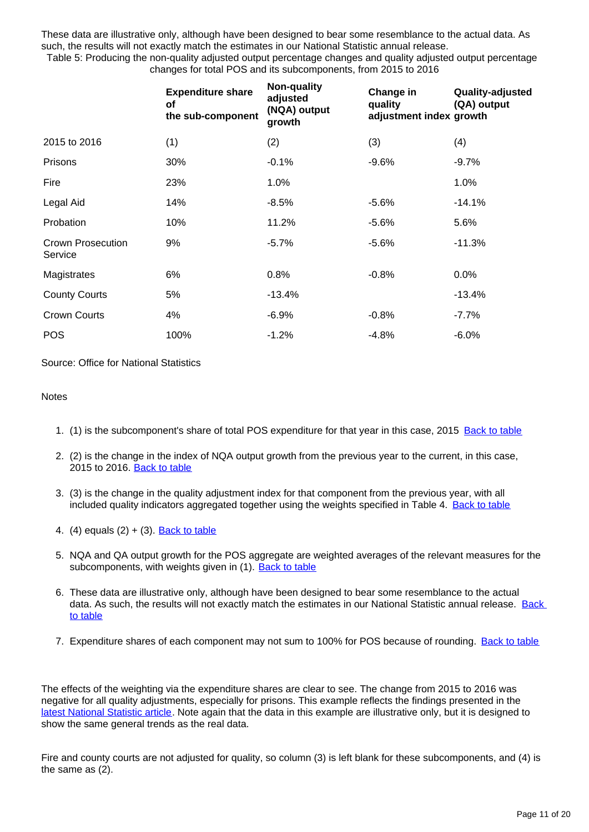These data are illustrative only, although have been designed to bear some resemblance to the actual data. As such, the results will not exactly match the estimates in our National Statistic annual release.

Table 5: Producing the non-quality adjusted output percentage changes and quality adjusted output percentage changes for total POS and its subcomponents, from 2015 to 2016

|                                     | <b>Expenditure share</b><br><b>of</b><br>the sub-component | Non-quality<br>adjusted<br>(NQA) output<br>growth | Change in<br>quality<br>adjustment index growth | Quality-adjusted<br>(QA) output |
|-------------------------------------|------------------------------------------------------------|---------------------------------------------------|-------------------------------------------------|---------------------------------|
| 2015 to 2016                        | (1)                                                        | (2)                                               | (3)                                             | (4)                             |
| Prisons                             | 30%                                                        | $-0.1%$                                           | $-9.6%$                                         | $-9.7%$                         |
| Fire                                | 23%                                                        | 1.0%                                              |                                                 | 1.0%                            |
| Legal Aid                           | 14%                                                        | $-8.5%$                                           | $-5.6%$                                         | $-14.1%$                        |
| Probation                           | 10%                                                        | 11.2%                                             | $-5.6\%$                                        | 5.6%                            |
| <b>Crown Prosecution</b><br>Service | 9%                                                         | $-5.7%$                                           | $-5.6%$                                         | $-11.3%$                        |
| Magistrates                         | 6%                                                         | 0.8%                                              | $-0.8%$                                         | 0.0%                            |
| <b>County Courts</b>                | 5%                                                         | -13.4%                                            |                                                 | -13.4%                          |
| <b>Crown Courts</b>                 | 4%                                                         | $-6.9%$                                           | $-0.8%$                                         | $-7.7\%$                        |
| <b>POS</b>                          | 100%                                                       | $-1.2%$                                           | $-4.8%$                                         | $-6.0%$                         |

Source: Office for National Statistics

#### **Notes**

- 1. (1) is the subcomponent's share of total POS expenditure for that year in this case, 2015 [Back to table](#page-0-0)
- 2. (2) is the change in the index of NQA output growth from the previous year to the current, in this case, 2015 to 2016. [Back to table](#page-0-0)
- 3. (3) is the change in the quality adjustment index for that component from the previous year, with all included quality indicators aggregated together using the weights specified in Table 4. [Back to table](#page-0-0)
- 4. (4) equals (2) + (3). [Back to table](#page-0-0)
- 5. NQA and QA output growth for the POS aggregate are weighted averages of the relevant measures for the subcomponents, with weights given in (1). [Back to table](#page-0-0)
- 6. These data are illustrative only, although have been designed to bear some resemblance to the actual data. As such, the results will not exactly match the estimates in our National Statistic annual release. [Back](#page-0-0)  [to table](#page-0-0)
- 7. Expenditure shares of each component may not sum to 100% for POS because of rounding. [Back to table](#page-0-0)

The effects of the weighting via the expenditure shares are clear to see. The change from 2015 to 2016 was negative for all quality adjustments, especially for prisons. This example reflects the findings presented in the [latest National Statistic article](https://www.ons.gov.uk/economy/economicoutputandproductivity/publicservicesproductivity/articles/publicservicesproductivityestimatestotalpublicservices/2016). Note again that the data in this example are illustrative only, but it is designed to show the same general trends as the real data.

Fire and county courts are not adjusted for quality, so column (3) is left blank for these subcomponents, and (4) is the same as (2).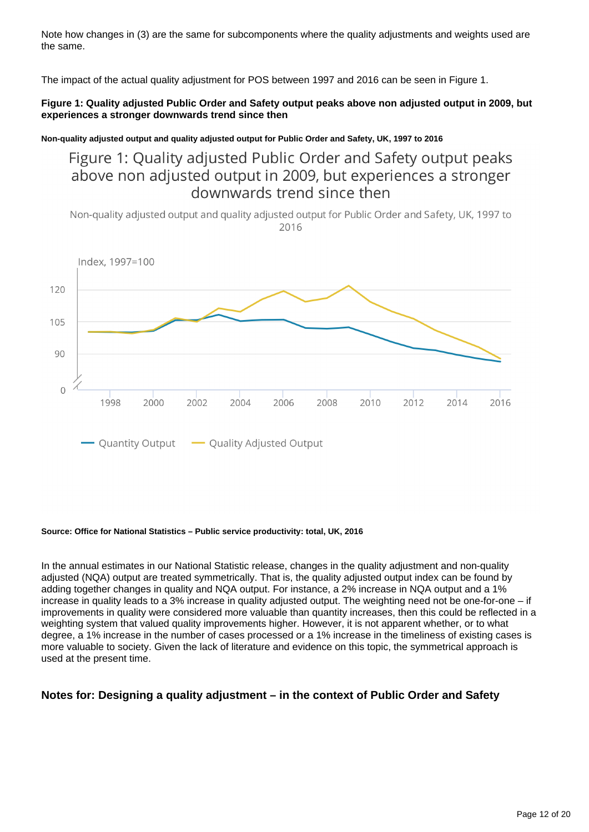Note how changes in (3) are the same for subcomponents where the quality adjustments and weights used are the same.

The impact of the actual quality adjustment for POS between 1997 and 2016 can be seen in Figure 1.

#### **Figure 1: Quality adjusted Public Order and Safety output peaks above non adjusted output in 2009, but experiences a stronger downwards trend since then**

**Non-quality adjusted output and quality adjusted output for Public Order and Safety, UK, 1997 to 2016**

### Figure 1: Quality adjusted Public Order and Safety output peaks above non adjusted output in 2009, but experiences a stronger downwards trend since then

Non-quality adjusted output and quality adjusted output for Public Order and Safety, UK, 1997 to 2016



#### **Source: Office for National Statistics – Public service productivity: total, UK, 2016**

In the annual estimates in our National Statistic release, changes in the quality adjustment and non-quality adjusted (NQA) output are treated symmetrically. That is, the quality adjusted output index can be found by adding together changes in quality and NQA output. For instance, a 2% increase in NQA output and a 1% increase in quality leads to a 3% increase in quality adjusted output. The weighting need not be one-for-one – if improvements in quality were considered more valuable than quantity increases, then this could be reflected in a weighting system that valued quality improvements higher. However, it is not apparent whether, or to what degree, a 1% increase in the number of cases processed or a 1% increase in the timeliness of existing cases is more valuable to society. Given the lack of literature and evidence on this topic, the symmetrical approach is used at the present time.

#### **Notes for: Designing a quality adjustment – in the context of Public Order and Safety**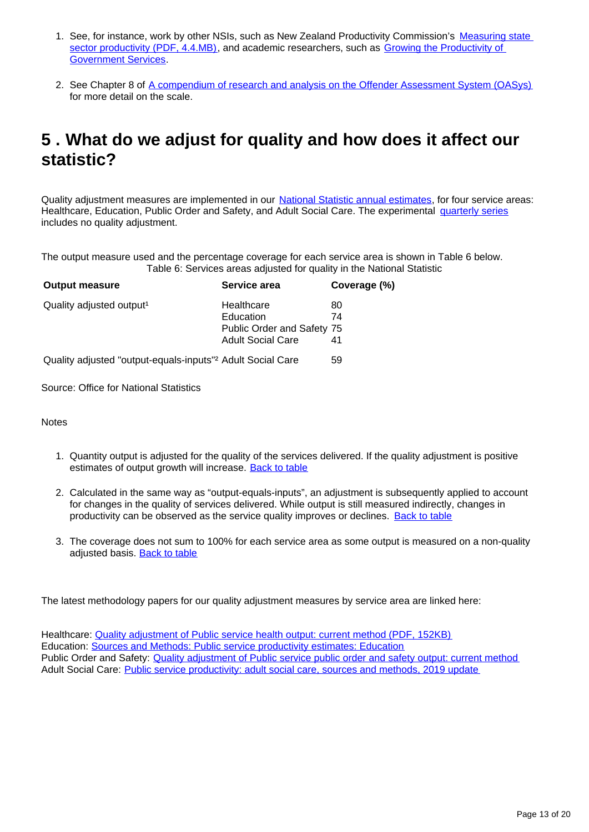- 1. See, for instance, work by other NSIs, such as New Zealand Productivity Commission's Measuring state [sector productivity \(PDF, 4.4.MB\),](https://www.productivity.govt.nz/sites/default/files/Measuring%20State%20Sector%20Productivity_Final%20Report_FINAL%20ONLINE.pdf) and academic researchers, such as Growing the Productivity of **Government Services**
- 2. See Chapter 8 of [A compendium of research and analysis on the Offender Assessment System \(OASys\)](https://assets.publishing.service.gov.uk/government/uploads/system/uploads/attachment_data/file/449357/research-analysis-offender-assessment-system.pdf) for more detail on the scale.

## <span id="page-12-0"></span>**5 . What do we adjust for quality and how does it affect our statistic?**

Quality adjustment measures are implemented in our [National Statistic annual estimates,](https://www.ons.gov.uk/economy/economicoutputandproductivity/publicservicesproductivity/articles/publicservicesproductivityestimatestotalpublicservices/previousReleases) for four service areas: Healthcare, Education, Public Order and Safety, and Adult Social Care. The experimental [quarterly series](https://www.ons.gov.uk/employmentandlabourmarket/peopleinwork/labourproductivity/articles/quarterlypublicserviceproductivityexperimentalstatistics/previousReleases) includes no quality adjustment.

The output measure used and the percentage coverage for each service area is shown in Table 6 below. Table 6: Services areas adjusted for quality in the National Statistic

| <b>Output measure</b>                                                  | Service area               | Coverage (%) |
|------------------------------------------------------------------------|----------------------------|--------------|
| Quality adjusted output <sup>1</sup>                                   | Healthcare                 | 80           |
|                                                                        | Education                  | 74           |
|                                                                        | Public Order and Safety 75 |              |
|                                                                        | <b>Adult Social Care</b>   | 41           |
| Quality adjusted "output-equals-inputs" <sup>2</sup> Adult Social Care |                            | 59           |

Source: Office for National Statistics

**Notes** 

- 1. Quantity output is adjusted for the quality of the services delivered. If the quality adjustment is positive estimates of output growth will increase. [Back to table](#page-0-0)
- 2. Calculated in the same way as "output-equals-inputs", an adjustment is subsequently applied to account for changes in the quality of services delivered. While output is still measured indirectly, changes in productivity can be observed as the service quality improves or declines. [Back to table](#page-0-0)
- 3. The coverage does not sum to 100% for each service area as some output is measured on a non-quality adjusted basis. [Back to table](#page-0-0)

The latest methodology papers for our quality adjustment measures by service area are linked here:

Healthcare: [Quality adjustment of Public service health output: current method \(PDF, 152KB\)](https://www.ons.gov.uk/ons/guide-method/method-quality/specific/public-sector-methodology/articles/quality-adjustment-of-public-service-health-output--current-method.pdf) Education: [Sources and Methods: Public service productivity estimates: Education](https://www.ons.gov.uk/economy/economicoutputandproductivity/publicservicesproductivity/methodologies/sourcesandmethodspublicserviceproductivityestimateseducation) Public Order and Safety: [Quality adjustment of Public service public order and safety output: current method](https://www.ons.gov.uk/economy/economicoutputandproductivity/publicservicesproductivity/methodologies/qualityadjustmentofpublicservicepublicorderandsafetyoutputcurrentmethod) Adult Social Care: [Public service productivity: adult social care, sources and methods, 2019 update](https://www.ons.gov.uk/economy/economicoutputandproductivity/publicservicesproductivity/methodologies/publicserviceproductivityadultsocialcaresourcesandmethods2019update)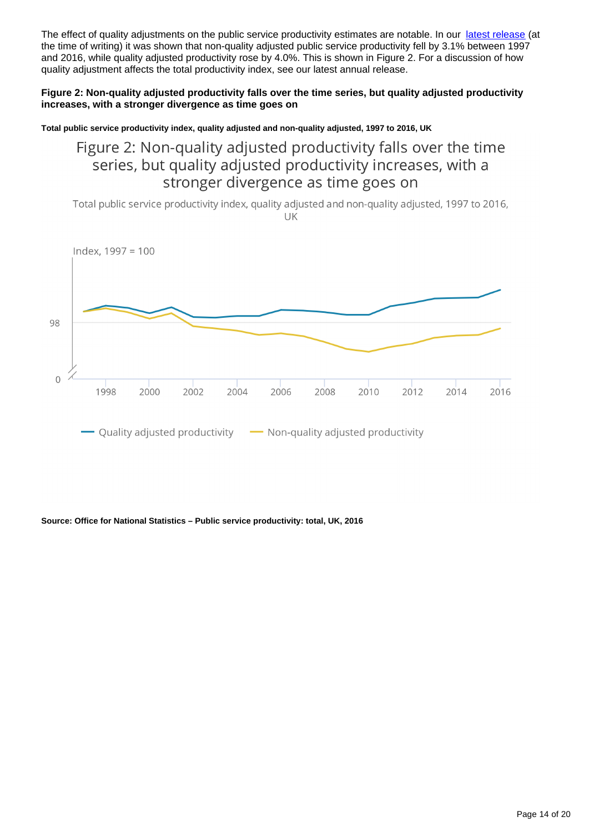The effect of quality adjustments on the public service productivity estimates are notable. In our [latest release](https://www.ons.gov.uk/economy/economicoutputandproductivity/publicservicesproductivity/articles/publicservicesproductivityestimatestotalpublicservices/2016) (at the time of writing) it was shown that non-quality adjusted public service productivity fell by 3.1% between 1997 and 2016, while quality adjusted productivity rose by 4.0%. This is shown in Figure 2. For a discussion of how quality adjustment affects the total productivity index, see our latest annual release.

#### **Figure 2: Non-quality adjusted productivity falls over the time series, but quality adjusted productivity increases, with a stronger divergence as time goes on**

**Total public service productivity index, quality adjusted and non-quality adjusted, 1997 to 2016, UK**

## Figure 2: Non-quality adjusted productivity falls over the time series, but quality adjusted productivity increases, with a stronger divergence as time goes on

Total public service productivity index, quality adjusted and non-quality adjusted, 1997 to 2016, UK



#### **Source: Office for National Statistics – Public service productivity: total, UK, 2016**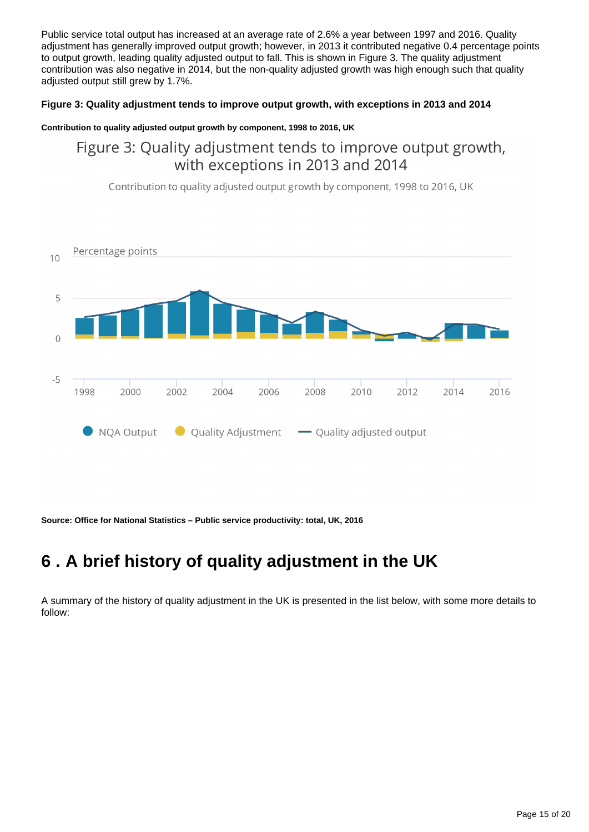Public service total output has increased at an average rate of 2.6% a year between 1997 and 2016. Quality adjustment has generally improved output growth; however, in 2013 it contributed negative 0.4 percentage points to output growth, leading quality adjusted output to fall. This is shown in Figure 3. The quality adjustment contribution was also negative in 2014, but the non-quality adjusted growth was high enough such that quality adjusted output still grew by 1.7%.

#### **Figure 3: Quality adjustment tends to improve output growth, with exceptions in 2013 and 2014**

#### **Contribution to quality adjusted output growth by component, 1998 to 2016, UK**

Figure 3: Quality adjustment tends to improve output growth, with exceptions in 2013 and 2014

Contribution to quality adjusted output growth by component, 1998 to 2016, UK



**Source: Office for National Statistics – Public service productivity: total, UK, 2016**

## <span id="page-14-0"></span>**6 . A brief history of quality adjustment in the UK**

A summary of the history of quality adjustment in the UK is presented in the list below, with some more details to follow: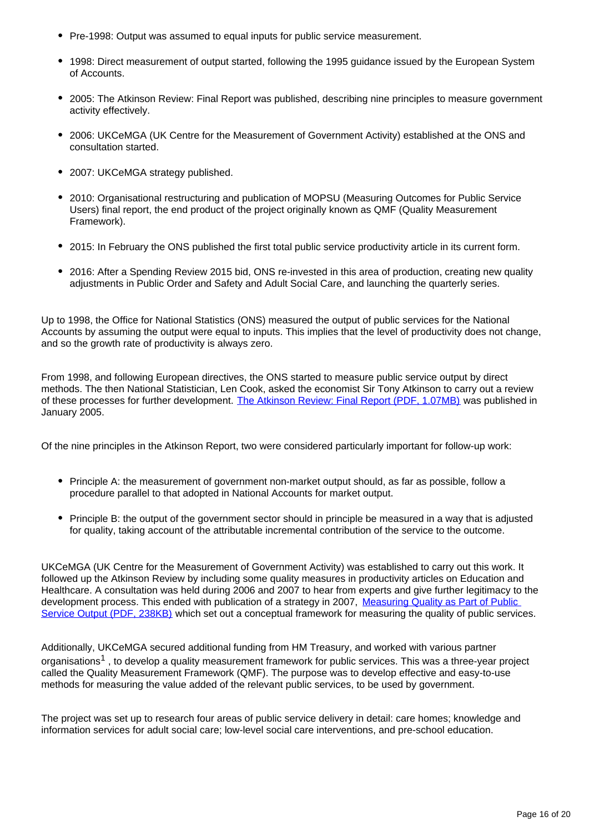- Pre-1998: Output was assumed to equal inputs for public service measurement.
- 1998: Direct measurement of output started, following the 1995 guidance issued by the European System of Accounts.
- 2005: The Atkinson Review: Final Report was published, describing nine principles to measure government activity effectively.
- 2006: UKCeMGA (UK Centre for the Measurement of Government Activity) established at the ONS and consultation started.
- 2007: UKCeMGA strategy published.
- 2010: Organisational restructuring and publication of MOPSU (Measuring Outcomes for Public Service Users) final report, the end product of the project originally known as QMF (Quality Measurement Framework).
- 2015: In February the ONS published the first total public service productivity article in its current form.
- 2016: After a Spending Review 2015 bid, ONS re-invested in this area of production, creating new quality adjustments in Public Order and Safety and Adult Social Care, and launching the quarterly series.

Up to 1998, the Office for National Statistics (ONS) measured the output of public services for the National Accounts by assuming the output were equal to inputs. This implies that the level of productivity does not change, and so the growth rate of productivity is always zero.

From 1998, and following European directives, the ONS started to measure public service output by direct methods. The then National Statistician, Len Cook, asked the economist Sir Tony Atkinson to carry out a review of these processes for further development. [The Atkinson Review: Final Report \(PDF, 1.07MB\)](https://webarchive.nationalarchives.gov.uk/20160106223636/http:/www.ons.gov.uk/ons/guide-method/method-quality/specific/public-sector-methodology/articles/atkinson-review-final-report.pdf) was published in January 2005.

Of the nine principles in the Atkinson Report, two were considered particularly important for follow-up work:

- Principle A: the measurement of government non-market output should, as far as possible, follow a procedure parallel to that adopted in National Accounts for market output.
- Principle B: the output of the government sector should in principle be measured in a way that is adjusted for quality, taking account of the attributable incremental contribution of the service to the outcome.

UKCeMGA (UK Centre for the Measurement of Government Activity) was established to carry out this work. It followed up the Atkinson Review by including some quality measures in productivity articles on Education and Healthcare. A consultation was held during 2006 and 2007 to hear from experts and give further legitimacy to the development process. This ended with publication of a strategy in 2007, [Measuring Quality as Part of Public](https://www.ons.gov.uk/ons/guide-method/ukcemga/about-ukcemga/consultations/measuring-quality-as-part-of-public-service-output.pdf)  [Service Output \(PDF, 238KB\)](https://www.ons.gov.uk/ons/guide-method/ukcemga/about-ukcemga/consultations/measuring-quality-as-part-of-public-service-output.pdf) which set out a conceptual framework for measuring the quality of public services.

Additionally, UKCeMGA secured additional funding from HM Treasury, and worked with various partner organisations<sup>1</sup>, to develop a quality measurement framework for public services. This was a three-year project called the Quality Measurement Framework (QMF). The purpose was to develop effective and easy-to-use methods for measuring the value added of the relevant public services, to be used by government.

The project was set up to research four areas of public service delivery in detail: care homes; knowledge and information services for adult social care; low-level social care interventions, and pre-school education.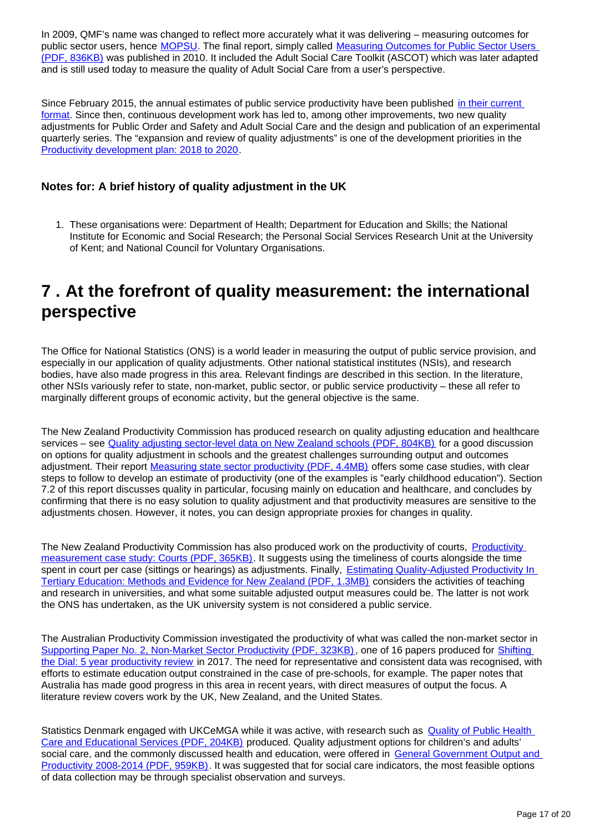In 2009, QMF's name was changed to reflect more accurately what it was delivering – measuring outcomes for public sector users, hence **MOPSU**. The final report, simply called **Measuring Outcomes for Public Sector Users** [\(PDF, 836KB\)](https://webarchive.nationalarchives.gov.uk/20110110153641/http:/www.ons.gov.uk/about-statistics/methodology-and-quality/measuring-outcomes-for-public-service-users/mopsu-reports-and-updates/mopsu-final-report.pdf) was published in 2010. It included the Adult Social Care Toolkit (ASCOT) which was later adapted and is still used today to measure the quality of Adult Social Care from a user's perspective.

Since February 2015, the annual estimates of public service productivity have been published [in their current](https://www.ons.gov.uk/economy/economicoutputandproductivity/publicservicesproductivity/articles/publicservicesproductivityestimatestotalpublicservices/previousReleases)  [format.](https://www.ons.gov.uk/economy/economicoutputandproductivity/publicservicesproductivity/articles/publicservicesproductivityestimatestotalpublicservices/previousReleases) Since then, continuous development work has led to, among other improvements, two new quality adjustments for Public Order and Safety and Adult Social Care and the design and publication of an experimental quarterly series. The "expansion and review of quality adjustments" is one of the development priorities in the [Productivity development plan: 2018 to 2020](https://www.ons.gov.uk/economy/economicoutputandproductivity/productivitymeasures/articles/productivitydevelopmentplan/2018to2020).

#### **Notes for: A brief history of quality adjustment in the UK**

1. These organisations were: Department of Health; Department for Education and Skills; the National Institute for Economic and Social Research; the Personal Social Services Research Unit at the University of Kent; and National Council for Voluntary Organisations.

## <span id="page-16-0"></span>**7 . At the forefront of quality measurement: the international perspective**

The Office for National Statistics (ONS) is a world leader in measuring the output of public service provision, and especially in our application of quality adjustments. Other national statistical institutes (NSIs), and research bodies, have also made progress in this area. Relevant findings are described in this section. In the literature, other NSIs variously refer to state, non-market, public sector, or public service productivity – these all refer to marginally different groups of economic activity, but the general objective is the same.

The New Zealand Productivity Commission has produced research on quality adjusting education and healthcare services – see [Quality adjusting sector-level data on New Zealand schools \(PDF, 804KB\)](https://www.productivity.govt.nz/sites/default/files/170515%20FINAL%20Public%20Sector%20Productivity%20School%20Quality%20Adjustment.pdf) for a good discussion on options for quality adjustment in schools and the greatest challenges surrounding output and outcomes adjustment. Their report [Measuring state sector productivity \(PDF, 4.4MB\)](https://www.productivity.govt.nz/sites/default/files/Measuring%20State%20Sector%20Productivity_Final%20Report_FINAL%20ONLINE.pdf) offers some case studies, with clear steps to follow to develop an estimate of productivity (one of the examples is "early childhood education"). Section 7.2 of this report discusses quality in particular, focusing mainly on education and healthcare, and concludes by confirming that there is no easy solution to quality adjustment and that productivity measures are sensitive to the adjustments chosen. However, it notes, you can design appropriate proxies for changes in quality.

The New Zealand [Productivity](https://www.productivity.govt.nz/sites/default/files/Court%20productivity%20case%20study.pdf) Commission has also produced work on the productivity of courts, Productivity [measurement case study: Courts \(PDF, 365KB\)](https://www.productivity.govt.nz/sites/default/files/Court%20productivity%20case%20study.pdf). It suggests using the timeliness of courts alongside the time spent in court per case (sittings or hearings) as adjustments. Finally, **Estimating Quality-Adjusted Productivity In** [Tertiary Education: Methods and Evidence for New Zealand \(PDF, 1.3MB\)](https://www.productivity.govt.nz/sites/default/files/WP_17_2017_Estimating_Quality-Adjusted_Productivity_in_Tertiary_Education_Methods_and_Evidence_for__New_Zealand.pdf) considers the activities of teaching and research in universities, and what some suitable adjusted output measures could be. The latter is not work the ONS has undertaken, as the UK university system is not considered a public service.

The Australian Productivity Commission investigated the productivity of what was called the non-market sector in [Supporting Paper No. 2, Non-Market Sector Productivity \(PDF, 323KB\)](https://www.pc.gov.au/inquiries/completed/productivity-review/report/productivity-review-supporting2.pdf), one of 16 papers produced for Shifting [the Dial: 5 year productivity review](https://www.pc.gov.au/inquiries/completed/productivity-review/report) in 2017. The need for representative and consistent data was recognised, with efforts to estimate education output constrained in the case of pre-schools, for example. The paper notes that Australia has made good progress in this area in recent years, with direct measures of output the focus. A literature review covers work by the UK, New Zealand, and the United States.

Statistics Denmark engaged with UKCeMGA while it was active, with research such as Quality of Public Health [Care and Educational Services \(PDF, 204KB\)](https://webarchive.nationalarchives.gov.uk/20120106001125/http:/www.ons.gov.uk/ons/media-centre/events/ukcemga-and-niesr-conference/ukcemga-and-niesr-international-conference-papers/nura-deveci-paper.pdf) produced. Quality adjustment options for children's and adults' social care, and the commonly discussed health and education, were offered in General Government Output and [Productivity 2008-2014 \(PDF, 959KB\)](https://www.dst.dk/Site/Dst/Udgivelser/GetPubFile.aspx?id=18684&sid=gengov2014). It was suggested that for social care indicators, the most feasible options of data collection may be through specialist observation and surveys.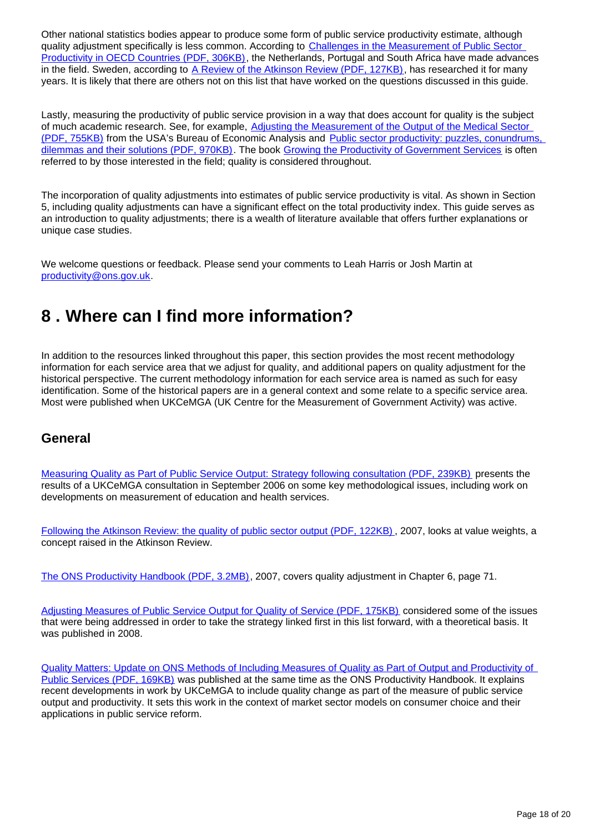Other national statistics bodies appear to produce some form of public service productivity estimate, although quality adjustment specifically is less common. According to Challenges in the Measurement of Public Sector [Productivity in OECD Countries \(PDF, 306KB\),](http://www.csls.ca/ipm/32/lau.pdf) the Netherlands, Portugal and South Africa have made advances in the field. Sweden, according to [A Review of the Atkinson Review \(PDF, 127KB\)](http://citeseerx.ist.psu.edu/viewdoc/download?doi=10.1.1.583.748&rep=rep1&type=pdf), has researched it for many years. It is likely that there are others not on this list that have worked on the questions discussed in this guide.

Lastly, measuring the productivity of public service provision in a way that does account for quality is the subject of much academic research. See, for example, [Adjusting the Measurement of the Output of the Medical Sector](https://www.bea.gov/system/files/papers/WP2015-5.pdf)  [\(PDF, 755KB\)](https://www.bea.gov/system/files/papers/WP2015-5.pdf) from the USA's Bureau of Economic Analysis and [Public sector productivity: puzzles, conundrums,](http://eprints.lse.ac.uk/67512/1/Public%20sector%20productivity_2015.pdf)  [dilemmas and their solutions \(PDF, 970KB\).](http://eprints.lse.ac.uk/67512/1/Public%20sector%20productivity_2015.pdf) The book [Growing the Productivity of Government Services](https://www.e-elgar.com/shop/growing-the-productivity-of-government-services?___website=uk_warehouse) is often referred to by those interested in the field; quality is considered throughout.

The incorporation of quality adjustments into estimates of public service productivity is vital. As shown in Section 5, including quality adjustments can have a significant effect on the total productivity index. This guide serves as an introduction to quality adjustments; there is a wealth of literature available that offers further explanations or unique case studies.

We welcome questions or feedback. Please send your comments to Leah Harris or Josh Martin at productivity@ons.gov.uk.

## <span id="page-17-0"></span>**8 . Where can I find more information?**

In addition to the resources linked throughout this paper, this section provides the most recent methodology information for each service area that we adjust for quality, and additional papers on quality adjustment for the historical perspective. The current methodology information for each service area is named as such for easy identification. Some of the historical papers are in a general context and some relate to a specific service area. Most were published when UKCeMGA (UK Centre for the Measurement of Government Activity) was active.

### **General**

[Measuring Quality as Part of Public Service Output: Strategy following consultation \(PDF, 239KB\)](https://www.ons.gov.uk/ons/guide-method/ukcemga/about-ukcemga/consultations/measuring-quality-as-part-of-public-service-output.pdf) presents the results of a UKCeMGA consultation in September 2006 on some key methodological issues, including work on developments on measurement of education and health services.

[Following the Atkinson Review: the quality of public sector output \(PDF, 122KB\)](https://webarchive.nationalarchives.gov.uk/20110825161414/http:/www.statistics.gov.uk/elmr/07_07/downloads/ELMR_July07_Weale.pdf) , 2007, looks at value weights, a concept raised in the Atkinson Review.

[The ONS Productivity Handbook \(PDF, 3.2MB\),](https://www.ons.gov.uk/file?uri=/economy/economicoutputandproductivity/productivitymeasures/methodologies/productivityhandbook/onsproductivityhandbooktcm77187914.pdf) 2007, covers quality adjustment in Chapter 6, page 71.

[Adjusting Measures of Public Service Output for Quality of Service \(PDF, 175KB\)](https://webarchive.nationalarchives.gov.uk/20090302194547/http:/www.statistics.gov.uk/articles/nojournal/Adjusting_Measures_of_Public_Service_Output_for_Quality.pdf) considered some of the issues that were being addressed in order to take the strategy linked first in this list forward, with a theoretical basis. It was published in 2008.

[Quality Matters: Update on ONS Methods of Including Measures of Quality as Part of Output and Productivity of](https://webarchive.nationalarchives.gov.uk/20110111003203/http:/www.statistics.gov.uk/articles/nojournal/Quality%20Matters.pdf)  [Public Services \(PDF, 169KB\)](https://webarchive.nationalarchives.gov.uk/20110111003203/http:/www.statistics.gov.uk/articles/nojournal/Quality%20Matters.pdf) was published at the same time as the ONS Productivity Handbook. It explains recent developments in work by UKCeMGA to include quality change as part of the measure of public service output and productivity. It sets this work in the context of market sector models on consumer choice and their applications in public service reform.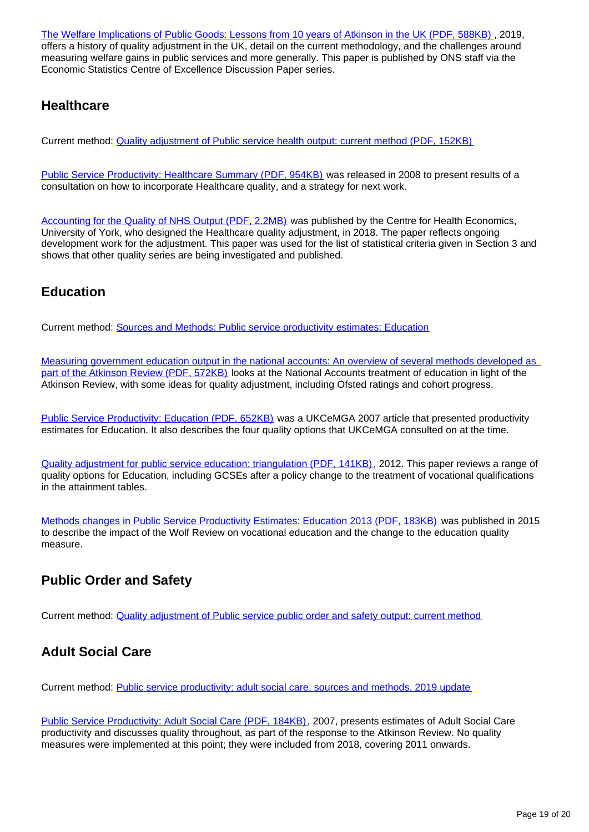[The Welfare Implications of Public Goods: Lessons from 10 years of Atkinson in the UK \(PDF, 588KB\)](https://www.escoe.ac.uk/download/4397/) , 2019, offers a history of quality adjustment in the UK, detail on the current methodology, and the challenges around measuring welfare gains in public services and more generally. This paper is published by ONS staff via the Economic Statistics Centre of Excellence Discussion Paper series.

### **Healthcare**

Current method: [Quality adjustment of Public service health output: current method \(PDF, 152KB\)](https://www.ons.gov.uk/ons/guide-method/method-quality/specific/public-sector-methodology/articles/quality-adjustment-of-public-service-health-output--current-method.pdf)

[Public Service Productivity: Healthcare Summary \(PDF, 954KB\)](https://webarchive.nationalarchives.gov.uk/20090225042723/http:/www.statistics.gov.uk/articles/nojournal/HealthCare_290108.pdf) was released in 2008 to present results of a consultation on how to incorporate Healthcare quality, and a strategy for next work.

[Accounting for the Quality of NHS Output \(PDF, 2.2MB\)](https://www.york.ac.uk/media/che/documents/papers/researchpapers/CHERP153_accounting_quality_NHS_output.pdf) was published by the Centre for Health Economics, University of York, who designed the Healthcare quality adjustment, in 2018. The paper reflects ongoing development work for the adjustment. This paper was used for the list of statistical criteria given in Section 3 and shows that other quality series are being investigated and published.

### **Education**

Current method: [Sources and Methods: Public service productivity estimates: Education](https://www.ons.gov.uk/economy/economicoutputandproductivity/publicservicesproductivity/methodologies/sourcesandmethodspublicserviceproductivityestimateseducation)

[Measuring government education output in the national accounts: An overview of several methods developed as](https://webarchive.nationalarchives.gov.uk/20130321021752/https:/www.education.gov.uk/publications/eOrderingDownload/RW45.pdf)  [part of the Atkinson Review \(PDF, 572KB\)](https://webarchive.nationalarchives.gov.uk/20130321021752/https:/www.education.gov.uk/publications/eOrderingDownload/RW45.pdf) looks at the National Accounts treatment of education in light of the Atkinson Review, with some ideas for quality adjustment, including Ofsted ratings and cohort progress.

[Public Service Productivity: Education \(PDF, 652KB\)](https://webarchive.nationalarchives.gov.uk/20080108060156/http:/www.statistics.gov.uk/articles/nojournal/Education_productivity_2007_main.pdf) was a UKCeMGA 2007 article that presented productivity estimates for Education. It also describes the four quality options that UKCeMGA consulted on at the time.

[Quality adjustment for public service education: triangulation \(PDF, 141KB\),](https://www.ons.gov.uk/ons/dcp171766_259595.pdf) 2012. This paper reviews a range of quality options for Education, including GCSEs after a policy change to the treatment of vocational qualifications in the attainment tables.

[Methods changes in Public Service Productivity Estimates: Education 2013 \(PDF, 183KB\)](https://webarchive.nationalarchives.gov.uk/20160106223636/http:/www.ons.gov.uk/ons/guide-method/method-quality/specific/public-sector-methodology/articles/methods-change-in-public-service-productivity-estimates--education-2013.pdf) was published in 2015 to describe the impact of the Wolf Review on vocational education and the change to the education quality measure.

### **Public Order and Safety**

Current method: [Quality adjustment of Public service public order and safety output: current method](https://www.ons.gov.uk/economy/economicoutputandproductivity/publicservicesproductivity/methodologies/qualityadjustmentofpublicservicepublicorderandsafetyoutputcurrentmethod)

### **Adult Social Care**

Current method: [Public service productivity: adult social care, sources and methods, 2019 update](https://www.ons.gov.uk/economy/economicoutputandproductivity/publicservicesproductivity/methodologies/publicserviceproductivityadultsocialcaresourcesandmethods2019update)

[Public Service Productivity: Adult Social Care \(PDF, 184KB\),](https://webarchive.nationalarchives.gov.uk/20080107222042/http:/www.statistics.gov.uk/articles/nojournal/PSP2007_SocialCare_v3.pdf) 2007, presents estimates of Adult Social Care productivity and discusses quality throughout, as part of the response to the Atkinson Review. No quality measures were implemented at this point; they were included from 2018, covering 2011 onwards.